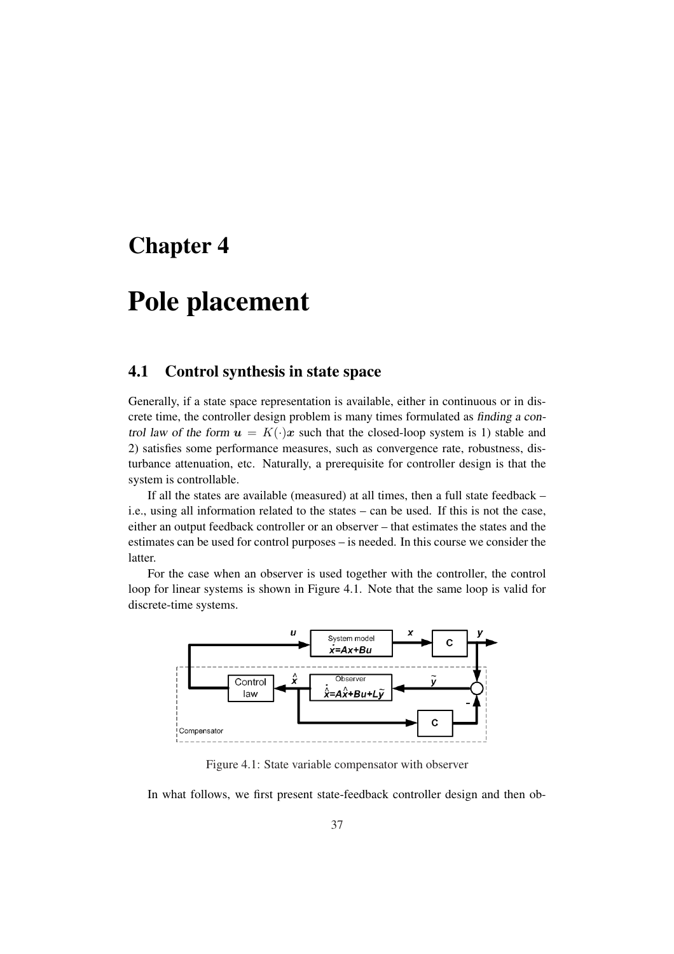# Chapter 4

# Pole placement

### 4.1 Control synthesis in state space

Generally, if a state space representation is available, either in continuous or in discrete time, the controller design problem is many times formulated as finding <sup>a</sup> control law of the form  $u = K(\cdot)x$  such that the closed-loop system is 1) stable and 2) satisfies some performance measures, such as convergence rate, robustness, disturbance attenuation, etc. Naturally, a prerequisite for controller design is that the system is controllable.

If all the states are available (measured) at all times, then a full state feedback – i.e., using all information related to the states – can be used. If this is not the case, either an output feedback controller or an observer – that estimates the states and the estimates can be used for control purposes – is needed. In this course we consider the latter.

For the case when an observer is used together with the controller, the control loop for linear systems is shown in Figure 4.1. Note that the same loop is valid for discrete-time systems.



Figure 4.1: State variable compensator with observer

In what follows, we first present state-feedback controller design and then ob-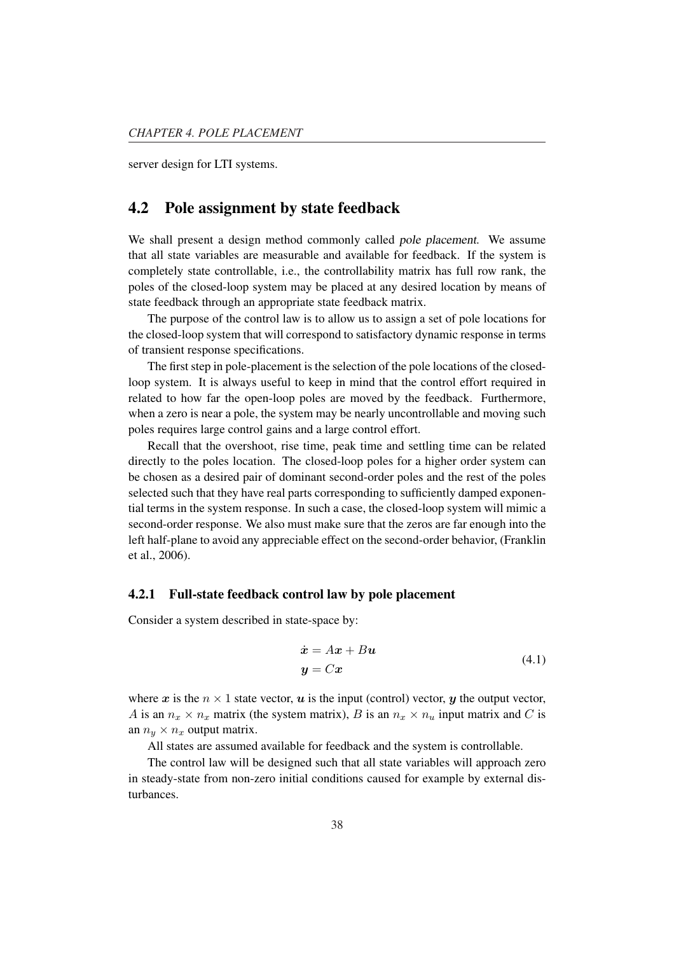server design for LTI systems.

### 4.2 Pole assignment by state feedback

We shall present a design method commonly called pole placement. We assume that all state variables are measurable and available for feedback. If the system is completely state controllable, i.e., the controllability matrix has full row rank, the poles of the closed-loop system may be placed at any desired location by means of state feedback through an appropriate state feedback matrix.

The purpose of the control law is to allow us to assign a set of pole locations for the closed-loop system that will correspond to satisfactory dynamic response in terms of transient response specifications.

The first step in pole-placement is the selection of the pole locations of the closedloop system. It is always useful to keep in mind that the control effort required in related to how far the open-loop poles are moved by the feedback. Furthermore, when a zero is near a pole, the system may be nearly uncontrollable and moving such poles requires large control gains and a large control effort.

Recall that the overshoot, rise time, peak time and settling time can be related directly to the poles location. The closed-loop poles for a higher order system can be chosen as a desired pair of dominant second-order poles and the rest of the poles selected such that they have real parts corresponding to sufficiently damped exponential terms in the system response. In such a case, the closed-loop system will mimic a second-order response. We also must make sure that the zeros are far enough into the left half-plane to avoid any appreciable effect on the second-order behavior, (Franklin et al., 2006).

#### 4.2.1 Full-state feedback control law by pole placement

Consider a system described in state-space by:

$$
\begin{aligned} \dot{\mathbf{x}} &= A\mathbf{x} + B\mathbf{u} \\ \mathbf{y} &= C\mathbf{x} \end{aligned} \tag{4.1}
$$

where x is the  $n \times 1$  state vector, u is the input (control) vector, y the output vector, A is an  $n_x \times n_x$  matrix (the system matrix), B is an  $n_x \times n_u$  input matrix and C is an  $n_y \times n_x$  output matrix.

All states are assumed available for feedback and the system is controllable.

The control law will be designed such that all state variables will approach zero in steady-state from non-zero initial conditions caused for example by external disturbances.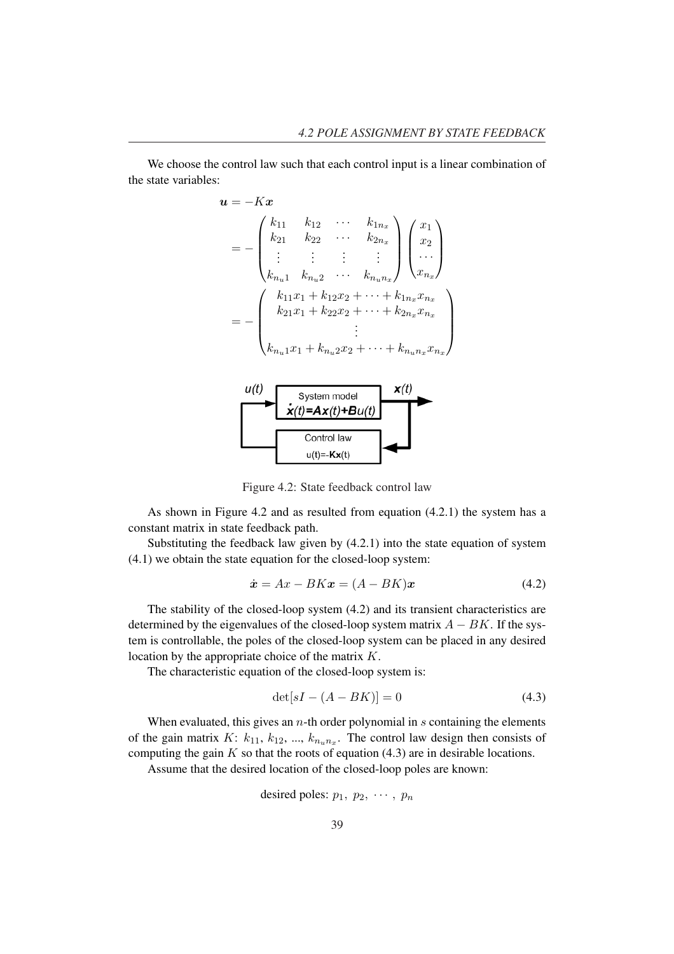We choose the control law such that each control input is a linear combination of the state variables:

$$
u = -Kx
$$
  
\n
$$
= -\begin{pmatrix} k_{11} & k_{12} & \cdots & k_{1n_x} \\ k_{21} & k_{22} & \cdots & k_{2n_x} \\ \vdots & \vdots & \vdots & \vdots \\ k_{n_u1} & k_{n_u2} & \cdots & k_{n_u n_x} \end{pmatrix} \begin{pmatrix} x_1 \\ x_2 \\ \cdots \\ x_{n_x} \end{pmatrix}
$$
  
\n
$$
= -\begin{pmatrix} k_{11}x_1 + k_{12}x_2 + \cdots + k_{1n_x}x_{n_x} \\ k_{21}x_1 + k_{22}x_2 + \cdots + k_{2n_x}x_{n_x} \\ \vdots \\ k_{n_u1}x_1 + k_{n_u2}x_2 + \cdots + k_{n_u n_x}x_{n_x} \end{pmatrix}
$$
  
\n
$$
u(t)
$$
  
\nSystem model  
\n
$$
\dot{x}(t) = Ax(t) + Bu(t)
$$
  
\nControl law

Figure 4.2: State feedback control law

 $u(t) = -Kx(t)$ 

As shown in Figure 4.2 and as resulted from equation (4.2.1) the system has a constant matrix in state feedback path.

Substituting the feedback law given by (4.2.1) into the state equation of system (4.1) we obtain the state equation for the closed-loop system:

$$
\dot{\boldsymbol{x}} = A\boldsymbol{x} - B\boldsymbol{K}\boldsymbol{x} = (A - BK)\boldsymbol{x} \tag{4.2}
$$

The stability of the closed-loop system (4.2) and its transient characteristics are determined by the eigenvalues of the closed-loop system matrix  $A - BK$ . If the system is controllable, the poles of the closed-loop system can be placed in any desired location by the appropriate choice of the matrix K.

The characteristic equation of the closed-loop system is:

$$
\det[sI - (A - BK)] = 0 \tag{4.3}
$$

When evaluated, this gives an  $n$ -th order polynomial in  $s$  containing the elements of the gain matrix  $K: k_{11}, k_{12}, ..., k_{n_1n_2}$ . The control law design then consists of computing the gain  $K$  so that the roots of equation (4.3) are in desirable locations.

Assume that the desired location of the closed-loop poles are known:

desired poles: 
$$
p_1, p_2, \cdots, p_n
$$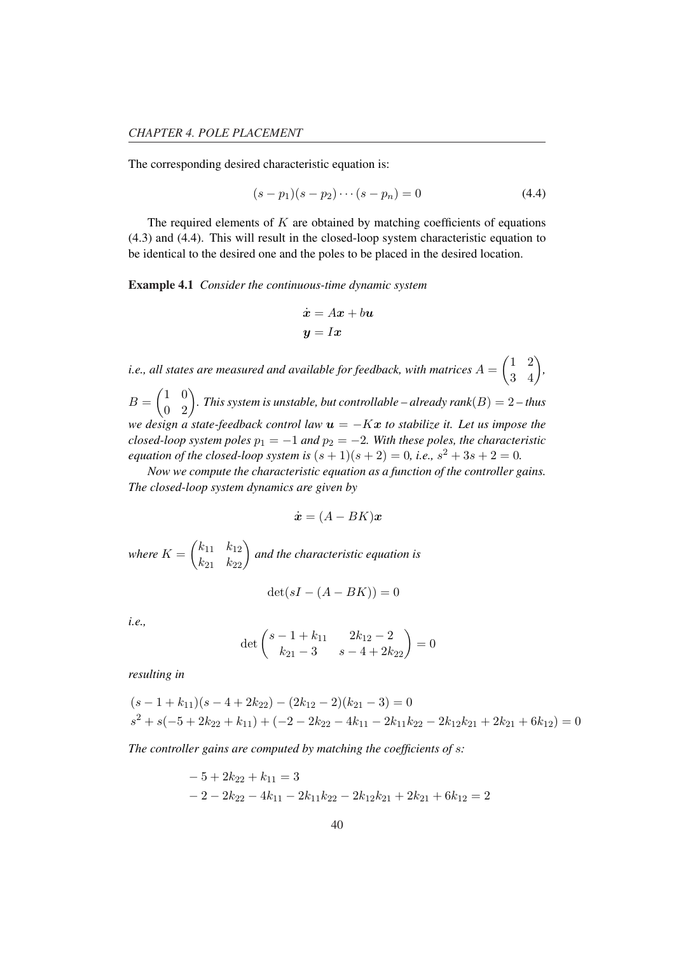The corresponding desired characteristic equation is:

$$
(s - p_1)(s - p_2) \cdots (s - p_n) = 0 \tag{4.4}
$$

The required elements of  $K$  are obtained by matching coefficients of equations (4.3) and (4.4). This will result in the closed-loop system characteristic equation to be identical to the desired one and the poles to be placed in the desired location.

Example 4.1 *Consider the continuous-time dynamic system*

$$
\begin{aligned} \dot{\bm{x}} &= A\bm{x} + b\bm{u} \\ \bm{y} &= I\bm{x} \end{aligned}
$$

*i.e., all states are measured and available for feedback, with matrices* A =  $\overline{a}$ 1 2  $\begin{pmatrix} 1 & 2 \\ 3 & 4 \end{pmatrix}$  $B=\begin{pmatrix} 1 & 0 \\ 0 & 0 \end{pmatrix}$  $\overline{a}$ 0 2¶ *. This system is unstable, but controllable – already rank*(B) = 2 *– thus we design a state-feedback control law*  $u = -Kx$  *to stabilize it. Let us impose the closed-loop system poles*  $p_1 = -1$  *and*  $p_2 = -2$ *. With these poles, the characteristic equation of the closed-loop system is*  $(s + 1)(s + 2) = 0$ *, i.e.,*  $s^2 + 3s + 2 = 0$ *.* 

*Now we compute the characteristic equation as a function of the controller gains. The closed-loop system dynamics are given by*

$$
\dot{\boldsymbol{x}} = (A-BK)\boldsymbol{x}
$$

*where* K =  $\overline{a}$  $k_{11}$   $k_{12}$  $\begin{pmatrix} k_{11} & k_{12} \\ k_{21} & k_{22} \end{pmatrix}$ *and the characteristic equation is*

$$
\det(sI - (A - BK)) = 0
$$

*i.e.,*

$$
\det \begin{pmatrix} s-1+k_{11} & 2k_{12}-2 \ k_{21}-3 & s-4+2k_{22} \end{pmatrix} = 0
$$

*resulting in*

$$
(s-1+k_{11})(s-4+2k_{22}) - (2k_{12}-2)(k_{21}-3) = 0
$$
  

$$
s^2 + s(-5+2k_{22}+k_{11}) + (-2-2k_{22}-4k_{11}-2k_{11}k_{22}-2k_{12}k_{21}+2k_{21}+6k_{12}) = 0
$$

*The controller gains are computed by matching the coefficients of* s*:*

$$
-5+2k_{22} + k_{11} = 3
$$
  

$$
-2-2k_{22} - 4k_{11} - 2k_{11}k_{22} - 2k_{12}k_{21} + 2k_{21} + 6k_{12} = 2
$$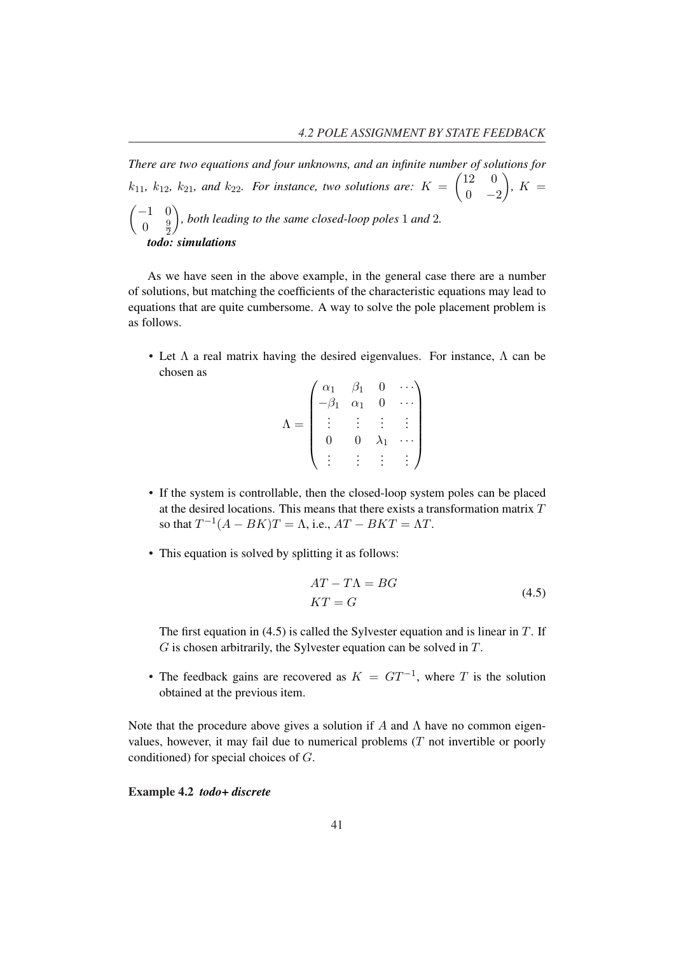There are two equations and four unknowns, and an infinite number of solutions for  $k_{11}$ ,  $k_{12}$ ,  $k_{21}$ , and  $k_{22}$ . For instance, two solutions are:  $K = \begin{pmatrix} 12 & 0 \\ 0 & 0 \end{pmatrix}$  $\begin{pmatrix} 2 & 0 \\ 0 & -2 \end{pmatrix}$ ,  $K =$  $\mathbf{y}$ −1 0  $0 \frac{9}{2}$  $\overline{2}$ *, both leading to the same closed-loop poles* 1 *and* 2*. todo: simulations*

As we have seen in the above example, in the general case there are a number of solutions, but matching the coefficients of the characteristic equations may lead to equations that are quite cumbersome. A way to solve the pole placement problem is as follows.

• Let  $\Lambda$  a real matrix having the desired eigenvalues. For instance,  $\Lambda$  can be chosen as  $\overline{1}$  $\mathbf{r}$ 

| $\alpha_1$ | $\beta_1$  |    |  |
|------------|------------|----|--|
| $\beta_1$  | $\alpha_1$ |    |  |
|            |            |    |  |
|            | 0          | ۱1 |  |
|            |            |    |  |

- If the system is controllable, then the closed-loop system poles can be placed at the desired locations. This means that there exists a transformation matrix  $T$ so that  $T^{-1}(A - BK)T = \Lambda$ , i.e.,  $AT - BKT = \Lambda T$ .
- This equation is solved by splitting it as follows:

$$
AT - T\Lambda = BG
$$
  

$$
KT = G
$$
 (4.5)

The first equation in (4.5) is called the Sylvester equation and is linear in  $T$ . If  $G$  is chosen arbitrarily, the Sylvester equation can be solved in  $T$ .

• The feedback gains are recovered as  $K = GT^{-1}$ , where T is the solution obtained at the previous item.

Note that the procedure above gives a solution if A and  $\Lambda$  have no common eigenvalues, however, it may fail due to numerical problems  $(T$  not invertible or poorly conditioned) for special choices of G.

Example 4.2 *todo+ discrete*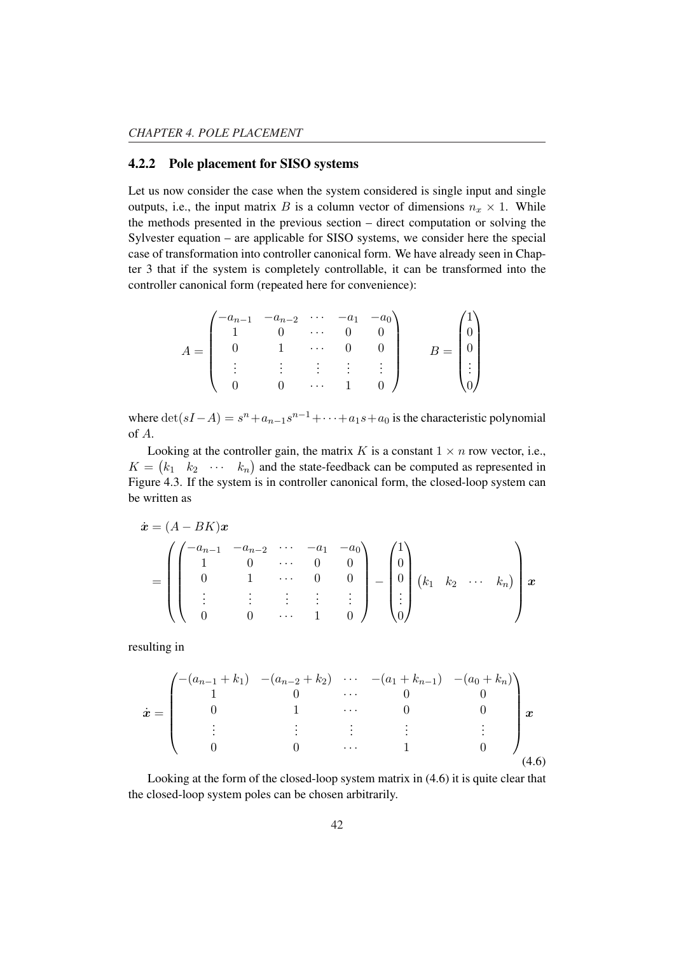#### 4.2.2 Pole placement for SISO systems

Let us now consider the case when the system considered is single input and single outputs, i.e., the input matrix B is a column vector of dimensions  $n_x \times 1$ . While the methods presented in the previous section – direct computation or solving the Sylvester equation – are applicable for SISO systems, we consider here the special case of transformation into controller canonical form. We have already seen in Chapter 3 that if the system is completely controllable, it can be transformed into the controller canonical form (repeated here for convenience):

|  | $\begin{pmatrix} -a_{n-1} & -a_{n-2} & \cdots & -a_1 & -a_0 \\ 1 & 0 & \cdots & 0 & 0 \end{pmatrix}$ |        |  |        |  |
|--|------------------------------------------------------------------------------------------------------|--------|--|--------|--|
|  | $1 \ldots$                                                                                           |        |  |        |  |
|  |                                                                                                      | 主义主义主义 |  | $\sim$ |  |
|  | $0 \qquad \ldots$                                                                                    |        |  |        |  |

where  $\det(sI - A) = s^n + a_{n-1}s^{n-1} + \cdots + a_1s + a_0$  is the characteristic polynomial of A.

Looking at the controller gain, the matrix K is a constant  $1 \times n$  row vector, i.e.,  $K = \begin{pmatrix} k_1 & k_2 & \cdots & k_n \end{pmatrix}$  and the state-feedback can be computed as represented in Figure 4.3. If the system is in controller canonical form, the closed-loop system can be written as

$$
\dot{\boldsymbol{x}} = (A - BK)\boldsymbol{x} \n= \begin{pmatrix}\n-a_{n-1} & -a_{n-2} & \cdots & -a_1 & -a_0 \\
1 & 0 & \cdots & 0 & 0 \\
0 & 1 & \cdots & 0 & 0 \\
\vdots & \vdots & \vdots & \vdots & \vdots \\
0 & 0 & \cdots & 1 & 0\n\end{pmatrix} - \begin{pmatrix}\n1 \\
0 \\
0 \\
\vdots \\
0\n\end{pmatrix} (k_1 \quad k_2 \quad \cdots \quad k_n)\n\begin{pmatrix}\n1 \\
n \\
0 \\
\vdots \\
0\n\end{pmatrix} \boldsymbol{x}
$$

resulting in

$$
\dot{\boldsymbol{x}} = \begin{pmatrix}\n-(a_{n-1} + k_1) & -(a_{n-2} + k_2) & \cdots & -(a_1 + k_{n-1}) & -(a_0 + k_n) \\
1 & 0 & \cdots & 0 & 0 \\
0 & 1 & \cdots & 0 & 0 \\
\vdots & \vdots & \vdots & \vdots & \vdots \\
0 & 0 & \cdots & 1 & 0\n\end{pmatrix} \boldsymbol{x}
$$
\n(4.6)

Looking at the form of the closed-loop system matrix in (4.6) it is quite clear that the closed-loop system poles can be chosen arbitrarily.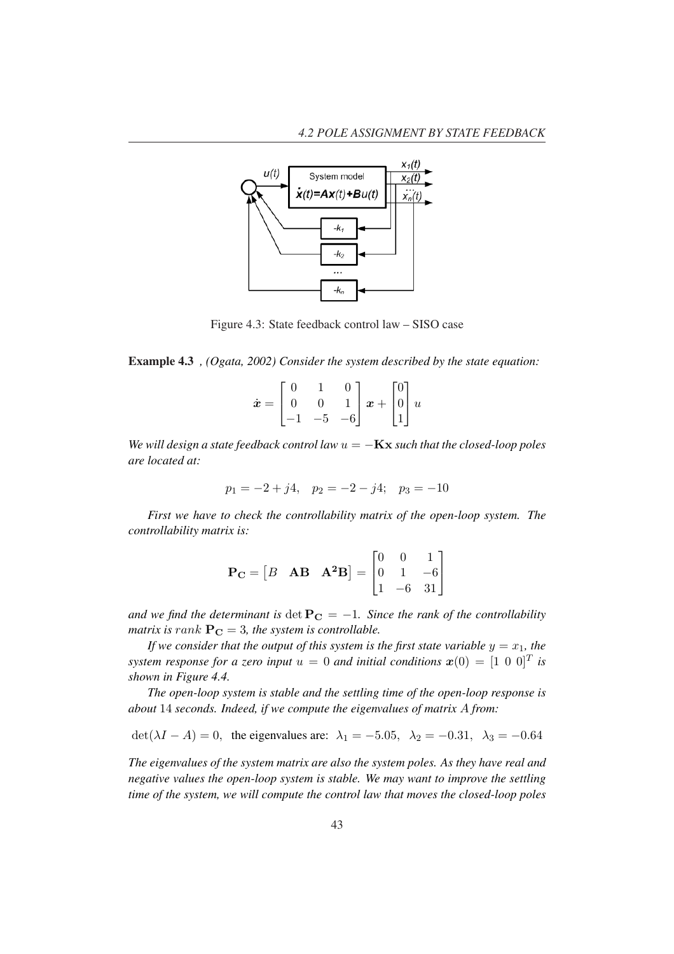

Figure 4.3: State feedback control law – SISO case

Example 4.3 *, (Ogata, 2002) Consider the system described by the state equation:*

|  |  | $\dot{\pmb{x}} = \begin{bmatrix} 0 & 1 & 0 \\ 0 & 0 & 1 \\ -1 & -5 & -6 \end{bmatrix} \pmb{x} + \begin{bmatrix} 0 \\ 0 \\ 1 \end{bmatrix} \pmb{u}$ |  |
|--|--|----------------------------------------------------------------------------------------------------------------------------------------------------|--|
|  |  |                                                                                                                                                    |  |

*We will design a state feedback control law*  $u = -Kx$  *such that the closed-loop poles are located at:*

$$
p_1 = -2 + j4, \quad p_2 = -2 - j4; \quad p_3 = -10
$$

*First we have to check the controllability matrix of the open-loop system. The controllability matrix is:*

$$
\mathbf{P_C} = \begin{bmatrix} B & \mathbf{AB} & \mathbf{A^2B} \end{bmatrix} = \begin{bmatrix} 0 & 0 & 1 \\ 0 & 1 & -6 \\ 1 & -6 & 31 \end{bmatrix}
$$

*and we find the determinant is* det  $P_C = -1$ *. Since the rank of the controllability matrix is rank*  $P_C = 3$ *, the system is controllable.* 

*If we consider that the output of this system is the first state variable*  $y = x_1$ *, the system response for a zero input*  $u = 0$  *and initial conditions*  $\boldsymbol{x}(0) = [1 \ 0 \ 0]^T$  *is shown in Figure 4.4.*

*The open-loop system is stable and the settling time of the open-loop response is about* 14 *seconds. Indeed, if we compute the eigenvalues of matrix* A *from:*

 $\det(\lambda I - A) = 0$ , the eigenvalues are:  $\lambda_1 = -5.05$ ,  $\lambda_2 = -0.31$ ,  $\lambda_3 = -0.64$ 

*The eigenvalues of the system matrix are also the system poles. As they have real and negative values the open-loop system is stable. We may want to improve the settling time of the system, we will compute the control law that moves the closed-loop poles*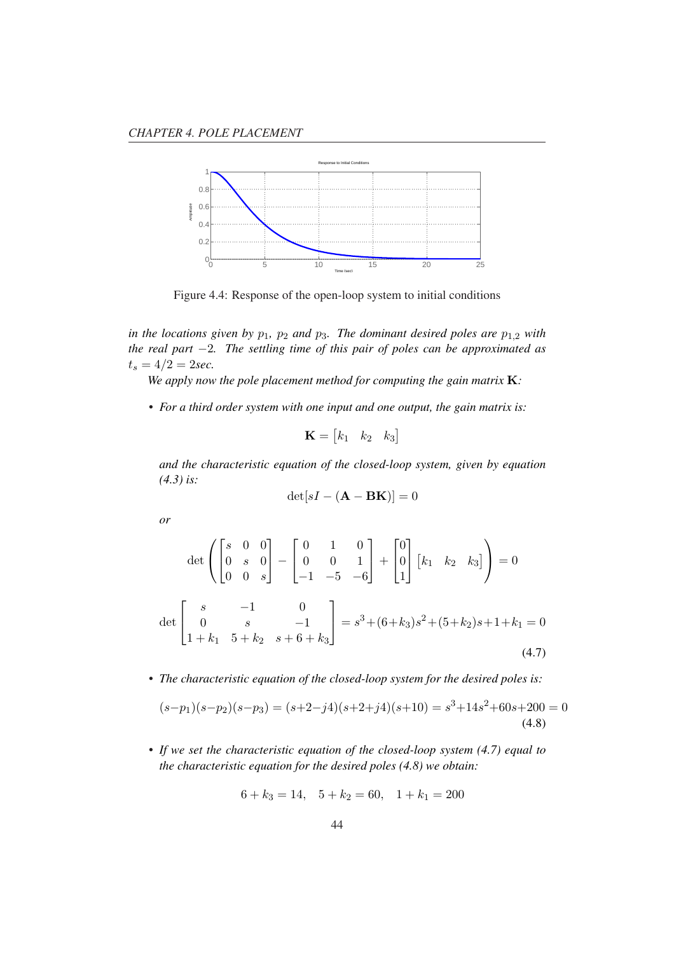

Figure 4.4: Response of the open-loop system to initial conditions

*in the locations given by*  $p_1$ *,*  $p_2$  *and*  $p_3$ *. The dominant desired poles are*  $p_{1,2}$  *with the real part* −2*. The settling time of this pair of poles can be approximated as*  $t_s = 4/2 = 2sec.$ 

*We apply now the pole placement method for computing the gain matrix* K*:*

*• For a third order system with one input and one output, the gain matrix is:*

$$
\mathbf{K} = \begin{bmatrix} k_1 & k_2 & k_3 \end{bmatrix}
$$

*and the characteristic equation of the closed-loop system, given by equation (4.3) is:*

$$
\det[sI - (\mathbf{A} - \mathbf{B}\mathbf{K})] = 0
$$

*or*

$$
\det \begin{pmatrix} s & 0 & 0 \\ 0 & s & 0 \\ 0 & 0 & s \end{pmatrix} - \begin{bmatrix} 0 & 1 & 0 \\ 0 & 0 & 1 \\ -1 & -5 & -6 \end{bmatrix} + \begin{bmatrix} 0 \\ 0 \\ 1 \end{bmatrix} \begin{bmatrix} k_1 & k_2 & k_3 \end{bmatrix} = 0
$$
  

$$
\det \begin{bmatrix} s & -1 & 0 \\ 0 & s & -1 \\ 1 + k_1 & 5 + k_2 & s + 6 + k_3 \end{bmatrix} = s^3 + (6 + k_3)s^2 + (5 + k_2)s + 1 + k_1 = 0
$$
(4.7)

*• The characteristic equation of the closed-loop system for the desired poles is:*

$$
(s-p1)(s-p2)(s-p3) = (s+2-j4)(s+2+j4)(s+10) = s3+14s2+60s+200 = 0
$$
\n(4.8)

*• If we set the characteristic equation of the closed-loop system (4.7) equal to the characteristic equation for the desired poles (4.8) we obtain:*

$$
6 + k_3 = 14, \quad 5 + k_2 = 60, \quad 1 + k_1 = 200
$$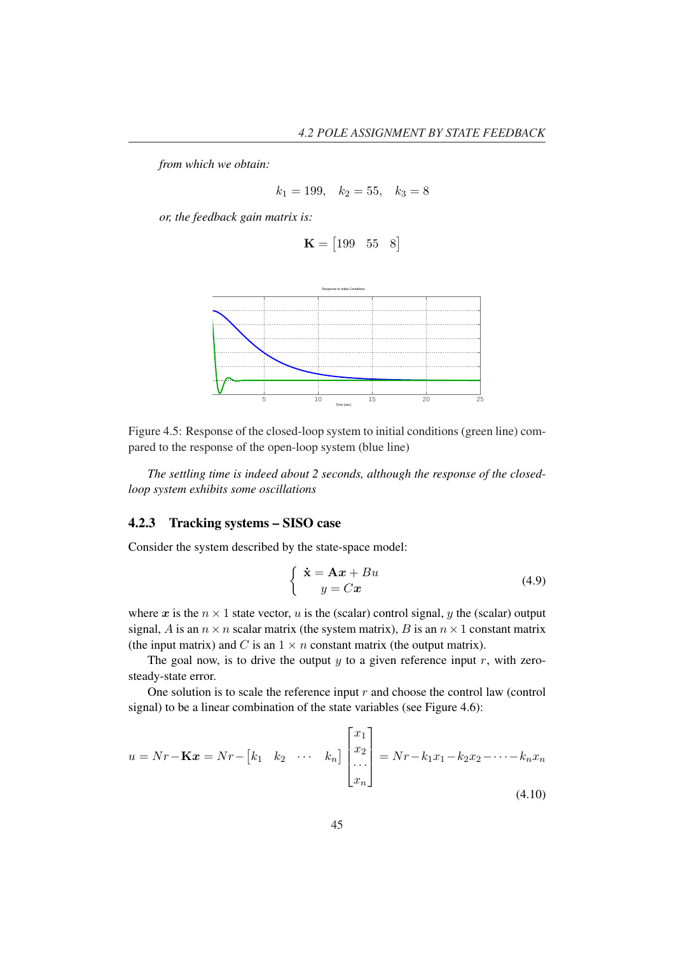*from which we obtain:*

$$
k_1 = 199, \quad k_2 = 55, \quad k_3 = 8
$$

*or, the feedback gain matrix is:*

$$
\mathbf{K} = \begin{bmatrix} 199 & 55 & 8 \end{bmatrix}
$$





*The settling time is indeed about 2 seconds, although the response of the closedloop system exhibits some oscillations*

#### 4.2.3 Tracking systems – SISO case

Consider the system described by the state-space model:

$$
\begin{cases} \dot{\mathbf{x}} = \mathbf{A}\mathbf{x} + B u \\ y = C\mathbf{x} \end{cases} \tag{4.9}
$$

where x is the  $n \times 1$  state vector, u is the (scalar) control signal, y the (scalar) output signal, A is an  $n \times n$  scalar matrix (the system matrix), B is an  $n \times 1$  constant matrix (the input matrix) and C is an  $1 \times n$  constant matrix (the output matrix).

The goal now, is to drive the output  $y$  to a given reference input  $r$ , with zerosteady-state error.

One solution is to scale the reference input  $r$  and choose the control law (control signal) to be a linear combination of the state variables (see Figure 4.6):

$$
u = Nr - \mathbf{K}x = Nr - \begin{bmatrix} k_1 & k_2 & \cdots & k_n \end{bmatrix} \begin{bmatrix} x_1 \\ x_2 \\ \cdots \\ x_n \end{bmatrix} = Nr - k_1x_1 - k_2x_2 - \cdots - k_nx_n \tag{4.10}
$$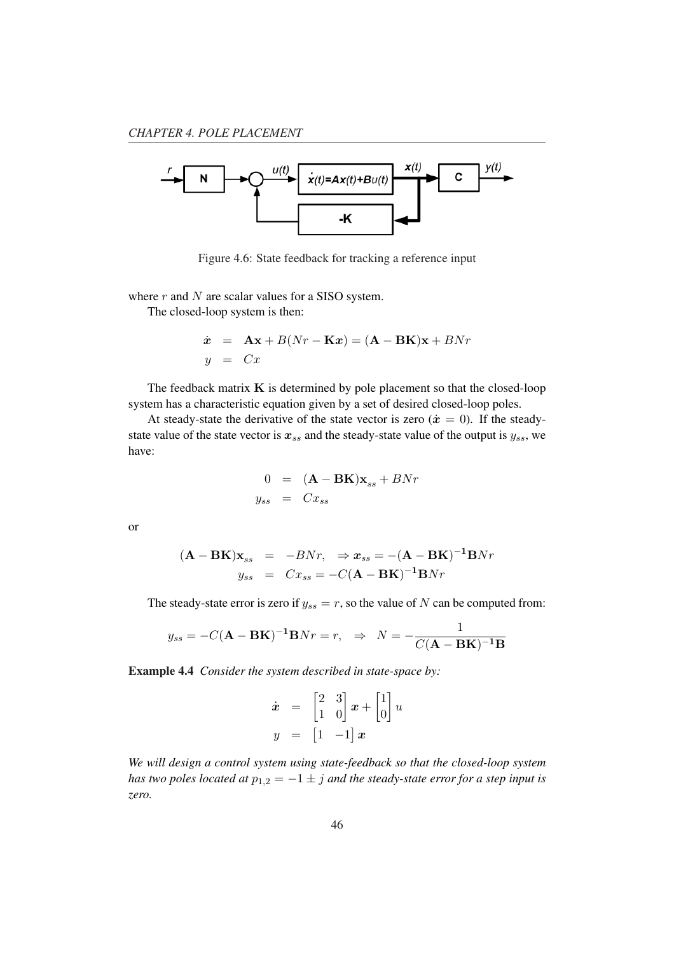

Figure 4.6: State feedback for tracking a reference input

where  $r$  and  $N$  are scalar values for a SISO system.

The closed-loop system is then:

$$
\dot{x} = \mathbf{A}\mathbf{x} + B(Nr - \mathbf{K}x) = (\mathbf{A} - \mathbf{B}\mathbf{K})\mathbf{x} + BNr
$$
  

$$
y = Cx
$$

The feedback matrix  $K$  is determined by pole placement so that the closed-loop system has a characteristic equation given by a set of desired closed-loop poles.

At steady-state the derivative of the state vector is zero  $(\dot{x} = 0)$ . If the steadystate value of the state vector is  $x_{ss}$  and the steady-state value of the output is  $y_{ss}$ , we have:

$$
0 = (\mathbf{A} - \mathbf{B}\mathbf{K})\mathbf{x}_{ss} + BNr
$$
  

$$
y_{ss} = Cx_{ss}
$$

or

$$
(\mathbf{A} - \mathbf{B}\mathbf{K})\mathbf{x}_{ss} = -BNr, \Rightarrow \mathbf{x}_{ss} = -(\mathbf{A} - \mathbf{B}\mathbf{K})^{-1}\mathbf{B}Nr
$$
  

$$
y_{ss} = Cx_{ss} = -C(\mathbf{A} - \mathbf{B}\mathbf{K})^{-1}\mathbf{B}Nr
$$

The steady-state error is zero if  $y_{ss} = r$ , so the value of N can be computed from:

$$
y_{ss} = -C(\mathbf{A} - \mathbf{B}\mathbf{K})^{-1}\mathbf{B}Nr = r, \Rightarrow N = -\frac{1}{C(\mathbf{A} - \mathbf{B}\mathbf{K})^{-1}\mathbf{B}}
$$

Example 4.4 *Consider the system described in state-space by:*

$$
\dot{\boldsymbol{x}} = \begin{bmatrix} 2 & 3 \\ 1 & 0 \end{bmatrix} \boldsymbol{x} + \begin{bmatrix} 1 \\ 0 \end{bmatrix} \boldsymbol{u}
$$

$$
\boldsymbol{y} = \begin{bmatrix} 1 & -1 \end{bmatrix} \boldsymbol{x}
$$

*We will design a control system using state-feedback so that the closed-loop system has two poles located at*  $p_{1,2} = -1 \pm j$  *and the steady-state error for a step input is zero.*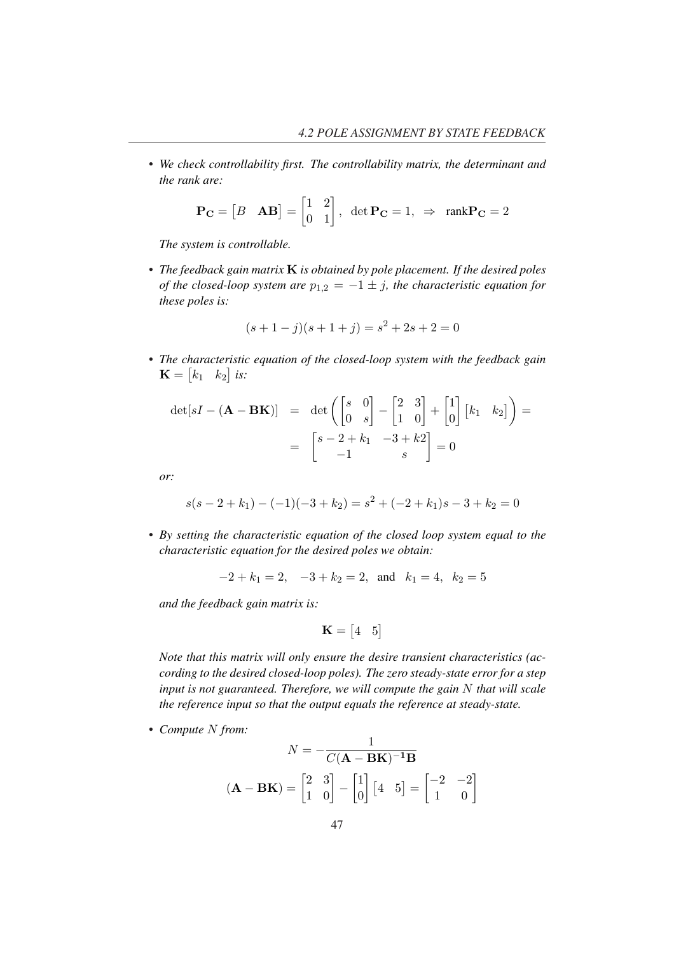*• We check controllability first. The controllability matrix, the determinant and the rank are:*

$$
\mathbf{P_C} = \begin{bmatrix} B & \mathbf{AB} \end{bmatrix} = \begin{bmatrix} 1 & 2 \\ 0 & 1 \end{bmatrix}, \ \det \mathbf{P_C} = 1, \ \Rightarrow \ \text{rank} \mathbf{P_C} = 2
$$

*The system is controllable.*

*• The feedback gain matrix* K *is obtained by pole placement. If the desired poles of the closed-loop system are*  $p_{1,2} = -1 \pm j$ *, the characteristic equation for these poles is:*

$$
(s+1-j)(s+1+j) = s^2 + 2s + 2 = 0
$$

• The characteristic equation of the closed-loop system with the feedback gain  $\mathbf{K} = \begin{vmatrix} k_1 & k_2 \end{vmatrix}$  is:

$$
\det[sI - (\mathbf{A} - \mathbf{B}\mathbf{K})] = \det \begin{pmatrix} s & 0 \ 0 & s \end{pmatrix} - \begin{bmatrix} 2 & 3 \ 1 & 0 \end{bmatrix} + \begin{bmatrix} 1 \ 0 \end{bmatrix} \begin{bmatrix} k_1 & k_2 \end{bmatrix} = \begin{bmatrix} s - 2 + k_1 & -3 + k_2 \ -1 & s \end{bmatrix} = 0
$$

*or:*

$$
s(s-2+k_1) - (-1)(-3+k_2) = s^2 + (-2+k_1)s - 3 + k_2 = 0
$$

*• By setting the characteristic equation of the closed loop system equal to the characteristic equation for the desired poles we obtain:*

$$
-2 + k_1 = 2, -3 + k_2 = 2, \text{ and } k_1 = 4, k_2 = 5
$$

*and the feedback gain matrix is:*

$$
\mathbf{K} = \begin{bmatrix} 4 & 5 \end{bmatrix}
$$

*Note that this matrix will only ensure the desire transient characteristics (according to the desired closed-loop poles). The zero steady-state error for a step input is not guaranteed. Therefore, we will compute the gain* N *that will scale the reference input so that the output equals the reference at steady-state.*

*• Compute* N *from:*

$$
N = -\frac{1}{C(\mathbf{A} - \mathbf{B}\mathbf{K})^{-1}\mathbf{B}}
$$

$$
(\mathbf{A} - \mathbf{B}\mathbf{K}) = \begin{bmatrix} 2 & 3 \\ 1 & 0 \end{bmatrix} - \begin{bmatrix} 1 \\ 0 \end{bmatrix} \begin{bmatrix} 4 & 5 \end{bmatrix} = \begin{bmatrix} -2 & -2 \\ 1 & 0 \end{bmatrix}
$$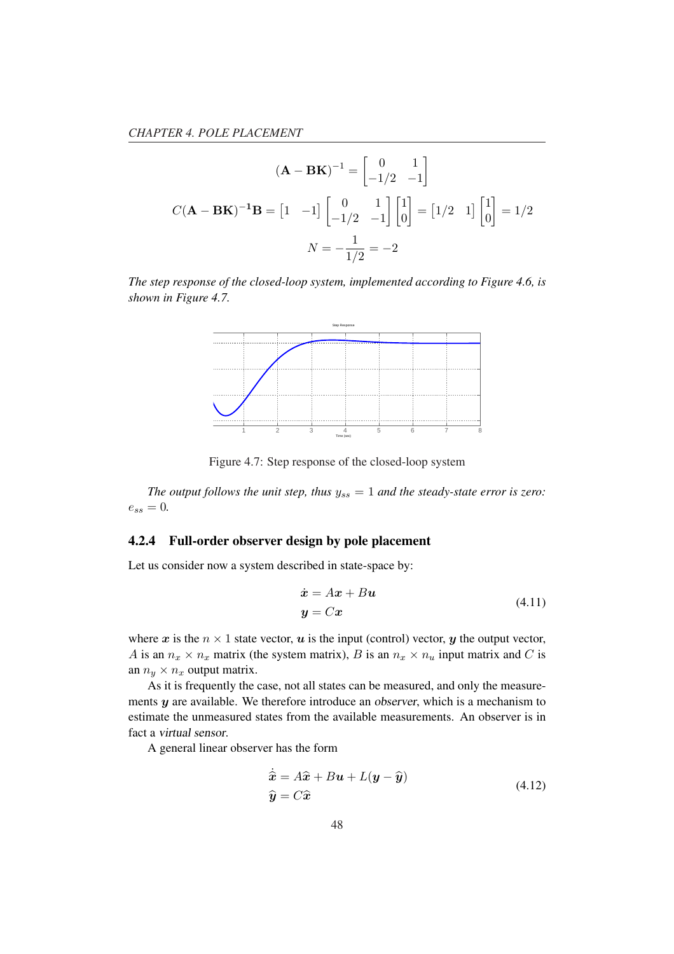$$
(\mathbf{A} - \mathbf{B}\mathbf{K})^{-1} = \begin{bmatrix} 0 & 1 \\ -1/2 & -1 \end{bmatrix}
$$

$$
C(\mathbf{A} - \mathbf{B}\mathbf{K})^{-1}\mathbf{B} = \begin{bmatrix} 1 & -1 \end{bmatrix} \begin{bmatrix} 0 & 1 \\ -1/2 & -1 \end{bmatrix} \begin{bmatrix} 1 \\ 0 \end{bmatrix} = \begin{bmatrix} 1/2 & 1 \end{bmatrix} \begin{bmatrix} 1 \\ 0 \end{bmatrix} = 1/2
$$

$$
N = -\frac{1}{1/2} = -2
$$

*The step response of the closed-loop system, implemented according to Figure 4.6, is shown in Figure 4.7.*



Figure 4.7: Step response of the closed-loop system

*The output follows the unit step, thus*  $y_{ss} = 1$  *and the steady-state error is zero:*  $e_{ss} = 0.$ 

#### 4.2.4 Full-order observer design by pole placement

Let us consider now a system described in state-space by:

$$
\begin{aligned} \dot{\mathbf{x}} &= A\mathbf{x} + B\mathbf{u} \\ \mathbf{y} &= C\mathbf{x} \end{aligned} \tag{4.11}
$$

where x is the  $n \times 1$  state vector, u is the input (control) vector, y the output vector, A is an  $n_x \times n_x$  matrix (the system matrix), B is an  $n_x \times n_u$  input matrix and C is an  $n_y \times n_x$  output matrix.

As it is frequently the case, not all states can be measured, and only the measurements  $y$  are available. We therefore introduce an observer, which is a mechanism to estimate the unmeasured states from the available measurements. An observer is in fact a virtual sensor.

A general linear observer has the form

$$
\dot{\hat{\mathbf{x}}} = A\hat{\mathbf{x}} + B\mathbf{u} + L(\mathbf{y} - \hat{\mathbf{y}})
$$
  
\n
$$
\hat{\mathbf{y}} = C\hat{\mathbf{x}}
$$
\n(4.12)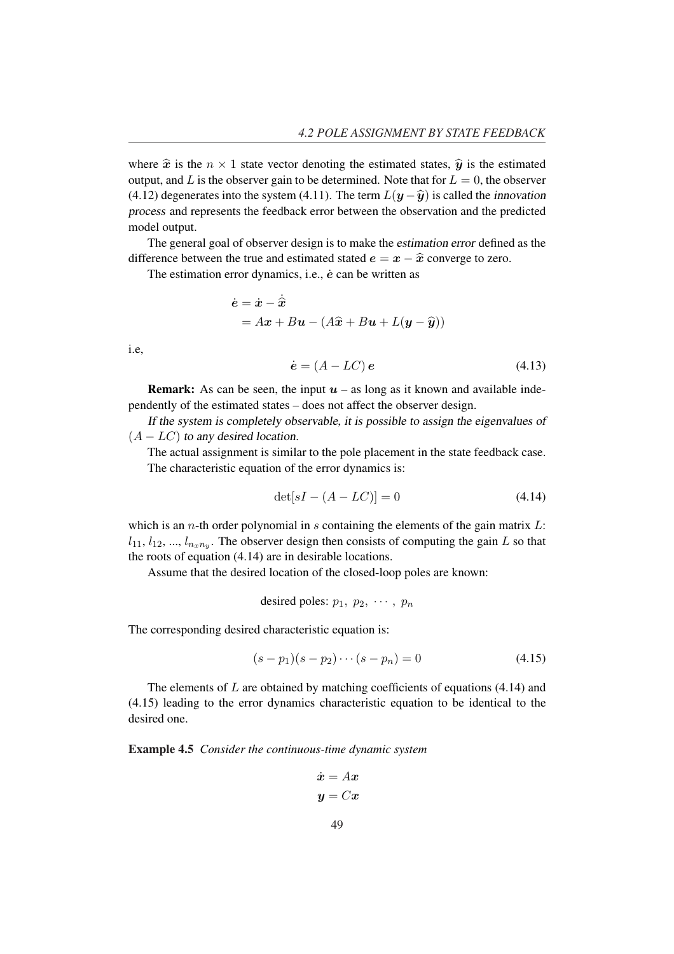where  $\hat{x}$  is the  $n \times 1$  state vector denoting the estimated states,  $\hat{y}$  is the estimated output, and L is the observer gain to be determined. Note that for  $L = 0$ , the observer (4.12) degenerates into the system (4.11). The term  $L(\mathbf{y} - \hat{\mathbf{y}})$  is called the innovation process and represents the feedback error between the observation and the predicted model output.

The general goal of observer design is to make the estimation error defined as the difference between the true and estimated stated  $e = x - \hat{x}$  converge to zero.

The estimation error dynamics, i.e.,  $\dot{e}$  can be written as

$$
\dot{\mathbf{e}} = \dot{\mathbf{x}} - \dot{\hat{\mathbf{x}}}
$$
  
= Ax + Bu - (A\hat{\mathbf{x}} + B\mathbf{u} + L(\mathbf{y} - \hat{\mathbf{y}}))

i.e,

$$
\dot{\mathbf{e}} = (A - LC)\,\mathbf{e} \tag{4.13}
$$

**Remark:** As can be seen, the input  $u$  – as long as it known and available independently of the estimated states – does not affect the observer design.

If the system is completely observable, it is possible to assign the eigenvalues of  $(A - LC)$  to any desired location.

The actual assignment is similar to the pole placement in the state feedback case. The characteristic equation of the error dynamics is:

$$
\det[sI - (A - LC)] = 0 \tag{4.14}
$$

which is an  $n$ -th order polynomial in  $s$  containing the elements of the gain matrix  $L$ :  $l_{11}, l_{12}, ..., l_{n_xn_y}$ . The observer design then consists of computing the gain L so that the roots of equation (4.14) are in desirable locations.

Assume that the desired location of the closed-loop poles are known:

desired poles:  $p_1, p_2, \cdots, p_n$ 

The corresponding desired characteristic equation is:

$$
(s - p1)(s - p2) \cdots (s - pn) = 0
$$
\n(4.15)

The elements of  $L$  are obtained by matching coefficients of equations (4.14) and (4.15) leading to the error dynamics characteristic equation to be identical to the desired one.

Example 4.5 *Consider the continuous-time dynamic system*

$$
\dot{\boldsymbol{x}} = A\boldsymbol{x}
$$

$$
\boldsymbol{y} = C\boldsymbol{x}
$$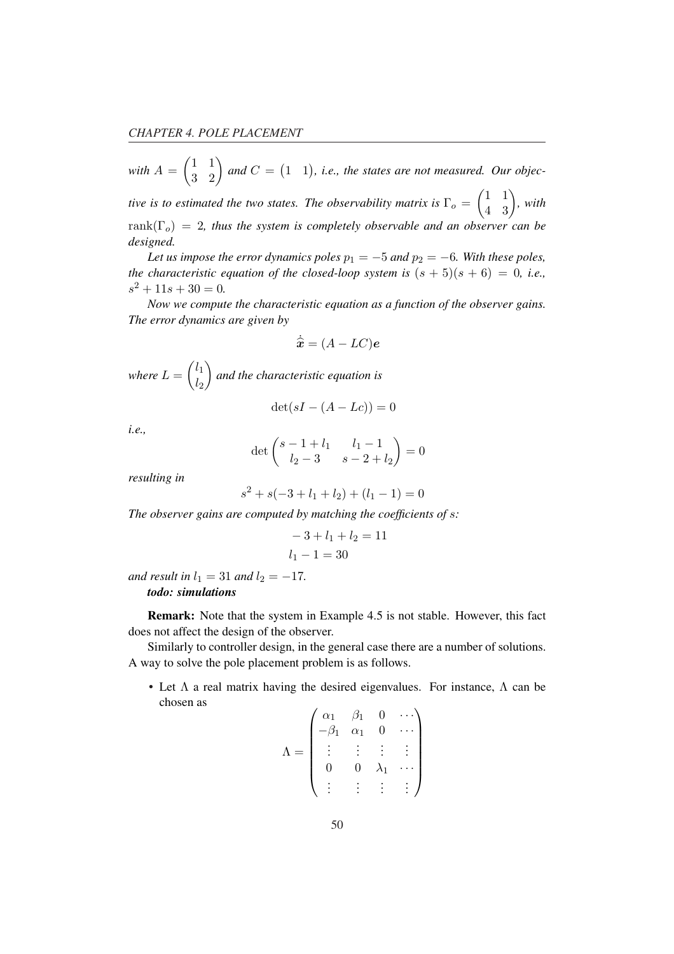with 
$$
A = \begin{pmatrix} 1 & 1 \ 3 & 2 \end{pmatrix}
$$
 and  $C = \begin{pmatrix} 1 & 1 \end{pmatrix}$ , *i.e.*, the states are not measured. Our object-

*tive is to estimated the two states. The observability matrix is*  $\Gamma_o =$ 1 1  $\begin{pmatrix} 1 & 1 \\ 4 & 3 \end{pmatrix}$ , with  $rank(\Gamma_o) = 2$ , thus the system is completely observable and an observer can be *designed.*

*Let us impose the error dynamics poles*  $p_1 = -5$  *and*  $p_2 = -6$ *. With these poles, the characteristic equation of the closed-loop system is*  $(s + 5)(s + 6) = 0$ , *i.e.*,  $s^2 + 11s + 30 = 0.$ 

*Now we compute the characteristic equation as a function of the observer gains. The error dynamics are given by*

$$
\dot{\hat{\bm{x}}} = (A - LC)\bm{e}
$$

 $where L =$  $\overline{a}$  $l_1$  $l<sub>2</sub>$  $\mathbf{r}$ *and the characteristic equation is*

 $\det(sI - (A - Lc)) = 0$ 

*i.e.,*

$$
\det \begin{pmatrix} s-1+l_1 & l_1-1 \ l_2-3 & s-2+l_2 \end{pmatrix} = 0
$$

*resulting in*

$$
s^{2} + s(-3 + l_{1} + l_{2}) + (l_{1} - 1) = 0
$$

*The observer gains are computed by matching the coefficients of* s*:*

$$
-3 + l_1 + l_2 = 11
$$
  

$$
l_1 - 1 = 30
$$

*and result in*  $l_1 = 31$  *and*  $l_2 = -17$ *.* 

*todo: simulations*

Remark: Note that the system in Example 4.5 is not stable. However, this fact does not affect the design of the observer.

Similarly to controller design, in the general case there are a number of solutions. A way to solve the pole placement problem is as follows.

• Let  $\Lambda$  a real matrix having the desired eigenvalues. For instance,  $\Lambda$  can be chosen as  $\overline{1}$  $\mathbf{r}$ 

$$
\Lambda = \begin{pmatrix} \alpha_1 & \beta_1 & 0 & \cdots \\ -\beta_1 & \alpha_1 & 0 & \cdots \\ \vdots & \vdots & \vdots & \vdots \\ 0 & 0 & \lambda_1 & \cdots \\ \vdots & \vdots & \vdots & \vdots \end{pmatrix}
$$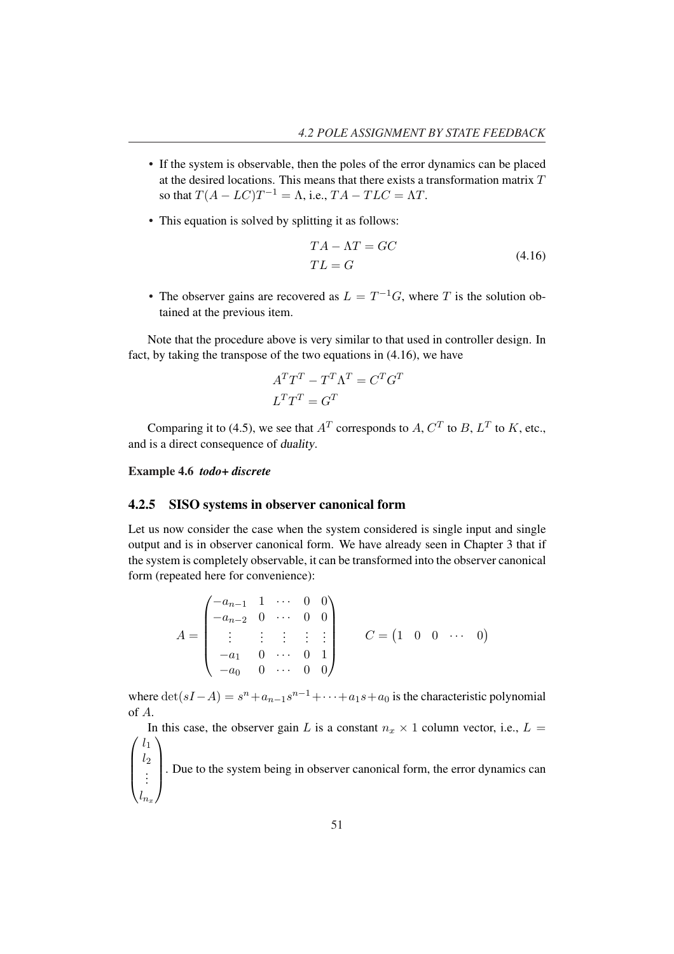- If the system is observable, then the poles of the error dynamics can be placed at the desired locations. This means that there exists a transformation matrix  $T$ so that  $T(A - LC)T^{-1} = \Lambda$ , i.e.,  $TA - TLC = \Lambda T$ .
- This equation is solved by splitting it as follows:

$$
TA - \Lambda T = GC
$$
  
\n
$$
TL = G
$$
\n(4.16)

• The observer gains are recovered as  $L = T^{-1}G$ , where T is the solution obtained at the previous item.

Note that the procedure above is very similar to that used in controller design. In fact, by taking the transpose of the two equations in (4.16), we have

$$
A^T T^T - T^T \Lambda^T = C^T G^T
$$

$$
L^T T^T = G^T
$$

Comparing it to (4.5), we see that  $A<sup>T</sup>$  corresponds to  $A, C<sup>T</sup>$  to  $B, L<sup>T</sup>$  to  $K$ , etc., and is a direct consequence of duality.

Example 4.6 *todo+ discrete*

#### 4.2.5 SISO systems in observer canonical form

Let us now consider the case when the system considered is single input and single output and is in observer canonical form. We have already seen in Chapter 3 that if the system is completely observable, it can be transformed into the observer canonical form (repeated here for convenience):

$$
A = \begin{pmatrix} -a_{n-1} & 1 & \cdots & 0 & 0 \\ -a_{n-2} & 0 & \cdots & 0 & 0 \\ \vdots & \vdots & \vdots & \vdots & \vdots \\ -a_1 & 0 & \cdots & 0 & 1 \\ -a_0 & 0 & \cdots & 0 & 0 \end{pmatrix} \qquad C = \begin{pmatrix} 1 & 0 & 0 & \cdots & 0 \end{pmatrix}
$$

where  $\det(sI - A) = s^n + a_{n-1}s^{n-1} + \cdots + a_1s + a_0$  is the characteristic polynomial of A.

 $\overline{\phantom{a}}$ In this case, the observer gain L is a constant  $n_x \times 1$  column vector, i.e.,  $L =$  $\begin{bmatrix} \phantom{-} \end{bmatrix}$  $l_1$  $l_2$  $\begin{bmatrix} 2 \\ 2 \\ \vdots \end{bmatrix}$  $l_{n_x}$ . Due to the system being in observer canonical form, the error dynamics can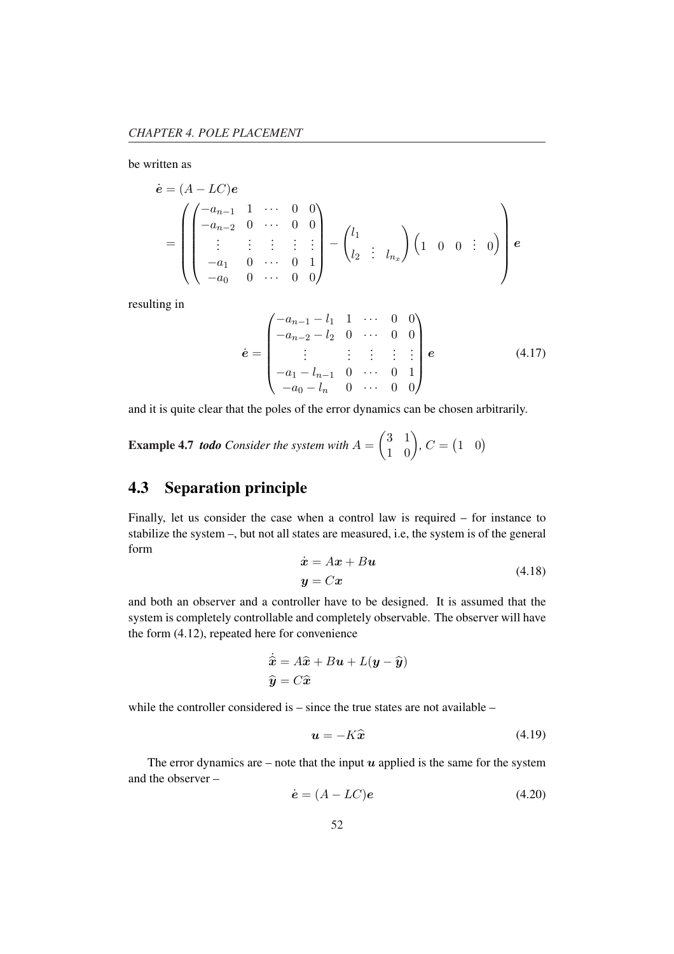be written as

$$
\dot{\mathbf{e}} = (A - LC)\mathbf{e}
$$
\n
$$
= \begin{pmatrix}\n-a_{n-1} & 1 & \cdots & 0 & 0 \\
-a_{n-2} & 0 & \cdots & 0 & 0 \\
\vdots & \vdots & \vdots & \vdots & \vdots \\
-a_1 & 0 & \cdots & 0 & 1 \\
-a_0 & 0 & \cdots & 0 & 0\n\end{pmatrix} - \begin{pmatrix}\nl_1 \\
l_2 & \vdots & l_{n_x}\n\end{pmatrix} \begin{pmatrix}\n1 & 0 & 0 & \vdots & 0\n\end{pmatrix} \mathbf{e}
$$

resulting in

$$
\dot{\mathbf{e}} = \begin{pmatrix}\n-a_{n-1} - l_1 & 1 & \cdots & 0 & 0 \\
-a_{n-2} - l_2 & 0 & \cdots & 0 & 0 \\
\vdots & \vdots & \vdots & \vdots & \vdots \\
-a_1 - l_{n-1} & 0 & \cdots & 0 & 1 \\
-a_0 - l_n & 0 & \cdots & 0 & 0\n\end{pmatrix} e
$$
\n(4.17)

and it is quite clear that the poles of the error dynamics can be chosen arbitrarily.

**Example 4.7** *todo Consider the system with*  $A =$  $\overline{a}$ 3 1  $\begin{pmatrix} 3 & 1 \\ 1 & 0 \end{pmatrix}$ , C =  $(1 \ 0)$ 

## 4.3 Separation principle

Finally, let us consider the case when a control law is required – for instance to stabilize the system –, but not all states are measured, i.e, the system is of the general form

$$
\begin{aligned} \dot{\mathbf{x}} &= A\mathbf{x} + B\mathbf{u} \\ \mathbf{y} &= C\mathbf{x} \end{aligned} \tag{4.18}
$$

and both an observer and a controller have to be designed. It is assumed that the system is completely controllable and completely observable. The observer will have the form (4.12), repeated here for convenience

$$
\dot{\hat{x}} = A\hat{x} + B\mathbf{u} + L(\mathbf{y} - \hat{\mathbf{y}})
$$

$$
\hat{\mathbf{y}} = C\hat{\mathbf{x}}
$$

while the controller considered is – since the true states are not available –

$$
u = -K\hat{x} \tag{4.19}
$$

The error dynamics are – note that the input  $u$  applied is the same for the system and the observer –

$$
\dot{\mathbf{e}} = (A - LC)\mathbf{e} \tag{4.20}
$$